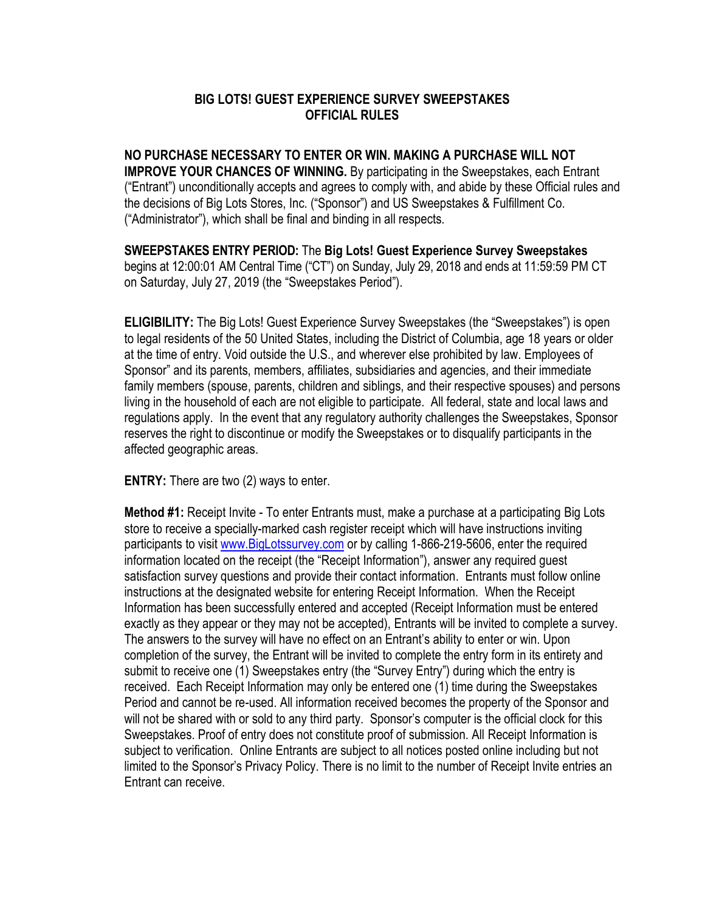## **BIG LOTS! GUEST EXPERIENCE SURVEY SWEEPSTAKES OFFICIAL RULES**

**NO PURCHASE NECESSARY TO ENTER OR WIN. MAKING A PURCHASE WILL NOT IMPROVE YOUR CHANCES OF WINNING.** By participating in the Sweepstakes, each Entrant ("Entrant") unconditionally accepts and agrees to comply with, and abide by these Official rules and the decisions of Big Lots Stores, Inc. ("Sponsor") and US Sweepstakes & Fulfillment Co. ("Administrator"), which shall be final and binding in all respects.

**SWEEPSTAKES ENTRY PERIOD:** The **Big Lots! Guest Experience Survey Sweepstakes** begins at 12:00:01 AM Central Time ("CT") on Sunday, July 29, 2018 and ends at 11:59:59 PM CT on Saturday, July 27, 2019 (the "Sweepstakes Period").

**ELIGIBILITY:** The Big Lots! Guest Experience Survey Sweepstakes (the "Sweepstakes") is open to legal residents of the 50 United States, including the District of Columbia, age 18 years or older at the time of entry. Void outside the U.S., and wherever else prohibited by law. Employees of Sponsor" and its parents, members, affiliates, subsidiaries and agencies, and their immediate family members (spouse, parents, children and siblings, and their respective spouses) and persons living in the household of each are not eligible to participate. All federal, state and local laws and regulations apply. In the event that any regulatory authority challenges the Sweepstakes, Sponsor reserves the right to discontinue or modify the Sweepstakes or to disqualify participants in the affected geographic areas.

**ENTRY:** There are two (2) ways to enter.

**Method #1:** Receipt Invite - To enter Entrants must, make a purchase at a participating Big Lots store to receive a specially-marked cash register receipt which will have instructions inviting participants to visi[t www.BigLotssurvey.com](http://www.biglotssurvey.com/) or by calling 1-866-219-5606, enter the required information located on the receipt (the "Receipt Information"), answer any required guest satisfaction survey questions and provide their contact information. Entrants must follow online instructions at the designated website for entering Receipt Information. When the Receipt Information has been successfully entered and accepted (Receipt Information must be entered exactly as they appear or they may not be accepted), Entrants will be invited to complete a survey. The answers to the survey will have no effect on an Entrant's ability to enter or win. Upon completion of the survey, the Entrant will be invited to complete the entry form in its entirety and submit to receive one (1) Sweepstakes entry (the "Survey Entry") during which the entry is received. Each Receipt Information may only be entered one (1) time during the Sweepstakes Period and cannot be re-used. All information received becomes the property of the Sponsor and will not be shared with or sold to any third party. Sponsor's computer is the official clock for this Sweepstakes. Proof of entry does not constitute proof of submission. All Receipt Information is subject to verification. Online Entrants are subject to all notices posted online including but not limited to the Sponsor's Privacy Policy. There is no limit to the number of Receipt Invite entries an Entrant can receive.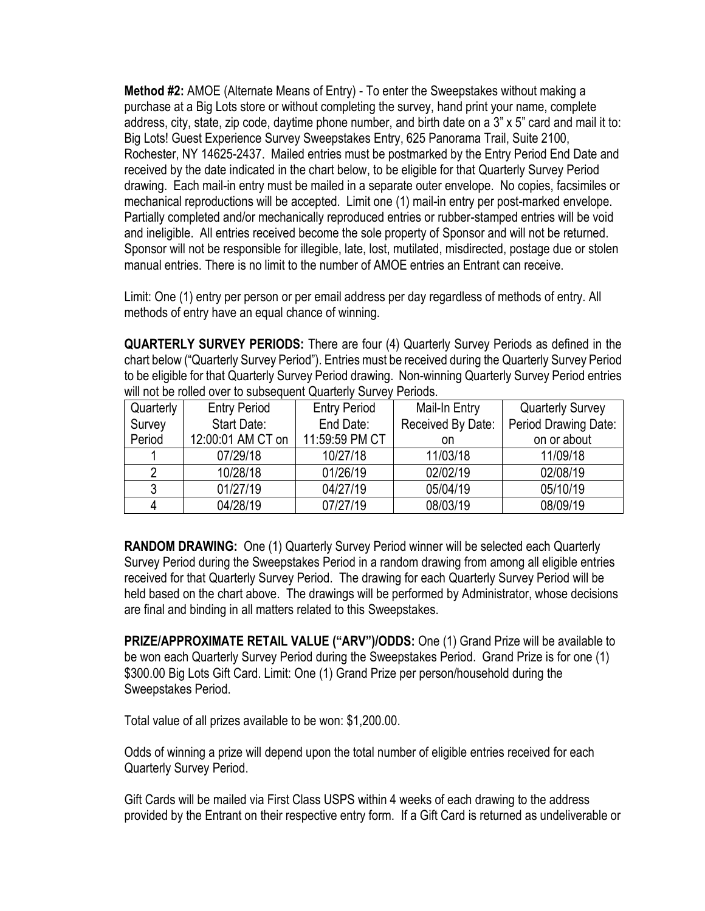**Method #2:** AMOE (Alternate Means of Entry) - To enter the Sweepstakes without making a purchase at a Big Lots store or without completing the survey, hand print your name, complete address, city, state, zip code, daytime phone number, and birth date on a 3" x 5" card and mail it to: Big Lots! Guest Experience Survey Sweepstakes Entry, 625 Panorama Trail, Suite 2100, Rochester, NY 14625-2437. Mailed entries must be postmarked by the Entry Period End Date and received by the date indicated in the chart below, to be eligible for that Quarterly Survey Period drawing. Each mail-in entry must be mailed in a separate outer envelope. No copies, facsimiles or mechanical reproductions will be accepted. Limit one (1) mail-in entry per post-marked envelope. Partially completed and/or mechanically reproduced entries or rubber-stamped entries will be void and ineligible. All entries received become the sole property of Sponsor and will not be returned. Sponsor will not be responsible for illegible, late, lost, mutilated, misdirected, postage due or stolen manual entries. There is no limit to the number of AMOE entries an Entrant can receive.

Limit: One (1) entry per person or per email address per day regardless of methods of entry. All methods of entry have an equal chance of winning.

**QUARTERLY SURVEY PERIODS:** There are four (4) Quarterly Survey Periods as defined in the chart below ("Quarterly Survey Period"). Entries must be received during the Quarterly Survey Period to be eligible for that Quarterly Survey Period drawing. Non-winning Quarterly Survey Period entries will not be rolled over to subsequent Quarterly Survey Periods.

| Quarterly | <b>Entry Period</b> | <b>Entry Period</b> | Mail-In Entry     | <b>Quarterly Survey</b> |
|-----------|---------------------|---------------------|-------------------|-------------------------|
| Survey    | Start Date:         | End Date:           | Received By Date: | Period Drawing Date:    |
| Period    | 12:00:01 AM CT on   | 11:59:59 PM CT      | on                | on or about             |
|           | 07/29/18            | 10/27/18            | 11/03/18          | 11/09/18                |
|           | 10/28/18            | 01/26/19            | 02/02/19          | 02/08/19                |
| 3         | 01/27/19            | 04/27/19            | 05/04/19          | 05/10/19                |
|           | 04/28/19            | 07/27/19            | 08/03/19          | 08/09/19                |

**RANDOM DRAWING:** One (1) Quarterly Survey Period winner will be selected each Quarterly Survey Period during the Sweepstakes Period in a random drawing from among all eligible entries received for that Quarterly Survey Period. The drawing for each Quarterly Survey Period will be held based on the chart above. The drawings will be performed by Administrator, whose decisions are final and binding in all matters related to this Sweepstakes.

**PRIZE/APPROXIMATE RETAIL VALUE ("ARV")/ODDS:** One (1) Grand Prize will be available to be won each Quarterly Survey Period during the Sweepstakes Period. Grand Prize is for one (1) \$300.00 Big Lots Gift Card. Limit: One (1) Grand Prize per person/household during the Sweepstakes Period.

Total value of all prizes available to be won: \$1,200.00.

Odds of winning a prize will depend upon the total number of eligible entries received for each Quarterly Survey Period.

Gift Cards will be mailed via First Class USPS within 4 weeks of each drawing to the address provided by the Entrant on their respective entry form. If a Gift Card is returned as undeliverable or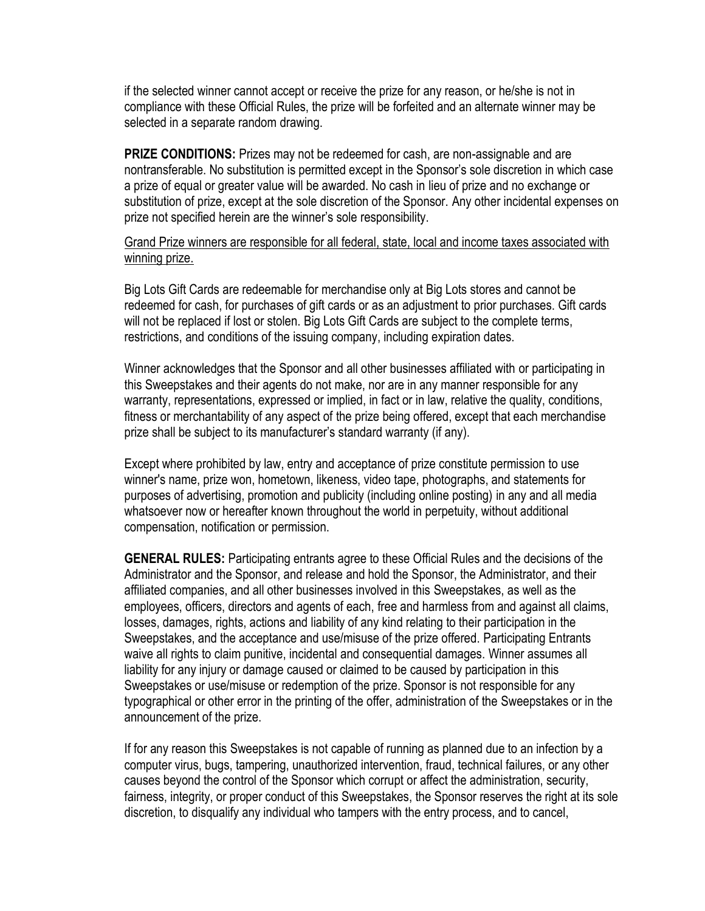if the selected winner cannot accept or receive the prize for any reason, or he/she is not in compliance with these Official Rules, the prize will be forfeited and an alternate winner may be selected in a separate random drawing.

**PRIZE CONDITIONS:** Prizes may not be redeemed for cash, are non-assignable and are nontransferable. No substitution is permitted except in the Sponsor's sole discretion in which case a prize of equal or greater value will be awarded. No cash in lieu of prize and no exchange or substitution of prize, except at the sole discretion of the Sponsor. Any other incidental expenses on prize not specified herein are the winner's sole responsibility.

Grand Prize winners are responsible for all federal, state, local and income taxes associated with winning prize.

Big Lots Gift Cards are redeemable for merchandise only at Big Lots stores and cannot be redeemed for cash, for purchases of gift cards or as an adjustment to prior purchases. Gift cards will not be replaced if lost or stolen. Big Lots Gift Cards are subject to the complete terms, restrictions, and conditions of the issuing company, including expiration dates.

Winner acknowledges that the Sponsor and all other businesses affiliated with or participating in this Sweepstakes and their agents do not make, nor are in any manner responsible for any warranty, representations, expressed or implied, in fact or in law, relative the quality, conditions, fitness or merchantability of any aspect of the prize being offered, except that each merchandise prize shall be subject to its manufacturer's standard warranty (if any).

Except where prohibited by law, entry and acceptance of prize constitute permission to use winner's name, prize won, hometown, likeness, video tape, photographs, and statements for purposes of advertising, promotion and publicity (including online posting) in any and all media whatsoever now or hereafter known throughout the world in perpetuity, without additional compensation, notification or permission.

**GENERAL RULES:** Participating entrants agree to these Official Rules and the decisions of the Administrator and the Sponsor, and release and hold the Sponsor, the Administrator, and their affiliated companies, and all other businesses involved in this Sweepstakes, as well as the employees, officers, directors and agents of each, free and harmless from and against all claims, losses, damages, rights, actions and liability of any kind relating to their participation in the Sweepstakes, and the acceptance and use/misuse of the prize offered. Participating Entrants waive all rights to claim punitive, incidental and consequential damages. Winner assumes all liability for any injury or damage caused or claimed to be caused by participation in this Sweepstakes or use/misuse or redemption of the prize. Sponsor is not responsible for any typographical or other error in the printing of the offer, administration of the Sweepstakes or in the announcement of the prize.

If for any reason this Sweepstakes is not capable of running as planned due to an infection by a computer virus, bugs, tampering, unauthorized intervention, fraud, technical failures, or any other causes beyond the control of the Sponsor which corrupt or affect the administration, security, fairness, integrity, or proper conduct of this Sweepstakes, the Sponsor reserves the right at its sole discretion, to disqualify any individual who tampers with the entry process, and to cancel,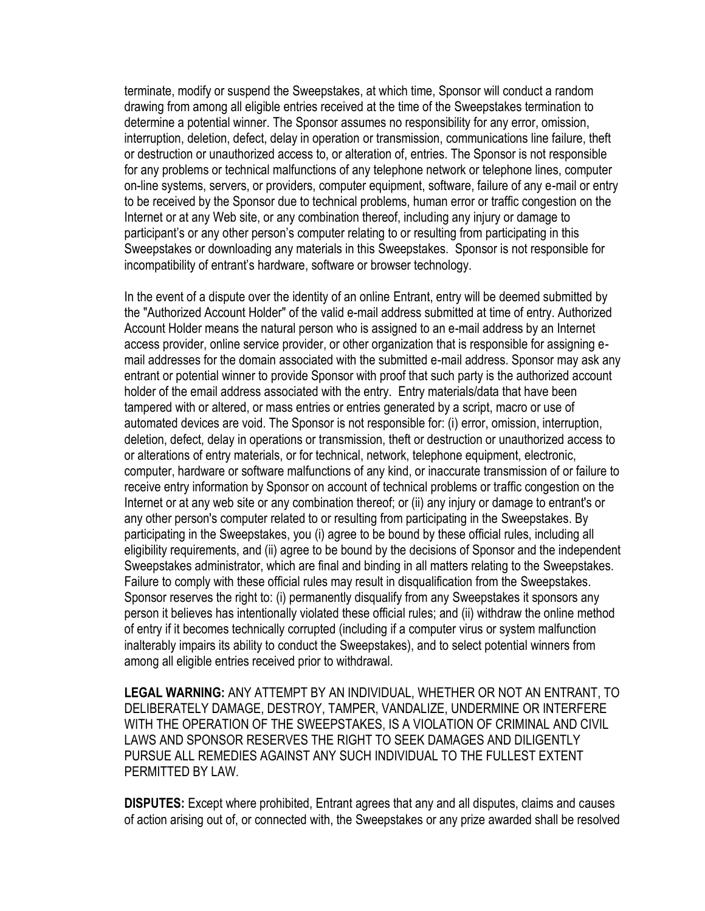terminate, modify or suspend the Sweepstakes, at which time, Sponsor will conduct a random drawing from among all eligible entries received at the time of the Sweepstakes termination to determine a potential winner. The Sponsor assumes no responsibility for any error, omission, interruption, deletion, defect, delay in operation or transmission, communications line failure, theft or destruction or unauthorized access to, or alteration of, entries. The Sponsor is not responsible for any problems or technical malfunctions of any telephone network or telephone lines, computer on-line systems, servers, or providers, computer equipment, software, failure of any e-mail or entry to be received by the Sponsor due to technical problems, human error or traffic congestion on the Internet or at any Web site, or any combination thereof, including any injury or damage to participant's or any other person's computer relating to or resulting from participating in this Sweepstakes or downloading any materials in this Sweepstakes. Sponsor is not responsible for incompatibility of entrant's hardware, software or browser technology.

In the event of a dispute over the identity of an online Entrant, entry will be deemed submitted by the "Authorized Account Holder" of the valid e-mail address submitted at time of entry. Authorized Account Holder means the natural person who is assigned to an e-mail address by an Internet access provider, online service provider, or other organization that is responsible for assigning email addresses for the domain associated with the submitted e-mail address. Sponsor may ask any entrant or potential winner to provide Sponsor with proof that such party is the authorized account holder of the email address associated with the entry. Entry materials/data that have been tampered with or altered, or mass entries or entries generated by a script, macro or use of automated devices are void. The Sponsor is not responsible for: (i) error, omission, interruption, deletion, defect, delay in operations or transmission, theft or destruction or unauthorized access to or alterations of entry materials, or for technical, network, telephone equipment, electronic, computer, hardware or software malfunctions of any kind, or inaccurate transmission of or failure to receive entry information by Sponsor on account of technical problems or traffic congestion on the Internet or at any web site or any combination thereof; or (ii) any injury or damage to entrant's or any other person's computer related to or resulting from participating in the Sweepstakes. By participating in the Sweepstakes, you (i) agree to be bound by these official rules, including all eligibility requirements, and (ii) agree to be bound by the decisions of Sponsor and the independent Sweepstakes administrator, which are final and binding in all matters relating to the Sweepstakes. Failure to comply with these official rules may result in disqualification from the Sweepstakes. Sponsor reserves the right to: (i) permanently disqualify from any Sweepstakes it sponsors any person it believes has intentionally violated these official rules; and (ii) withdraw the online method of entry if it becomes technically corrupted (including if a computer virus or system malfunction inalterably impairs its ability to conduct the Sweepstakes), and to select potential winners from among all eligible entries received prior to withdrawal.

**LEGAL WARNING:** ANY ATTEMPT BY AN INDIVIDUAL, WHETHER OR NOT AN ENTRANT, TO DELIBERATELY DAMAGE, DESTROY, TAMPER, VANDALIZE, UNDERMINE OR INTERFERE WITH THE OPERATION OF THE SWEEPSTAKES, IS A VIOLATION OF CRIMINAL AND CIVIL LAWS AND SPONSOR RESERVES THE RIGHT TO SEEK DAMAGES AND DILIGENTLY PURSUE ALL REMEDIES AGAINST ANY SUCH INDIVIDUAL TO THE FULLEST EXTENT PERMITTED BY LAW.

**DISPUTES:** Except where prohibited, Entrant agrees that any and all disputes, claims and causes of action arising out of, or connected with, the Sweepstakes or any prize awarded shall be resolved